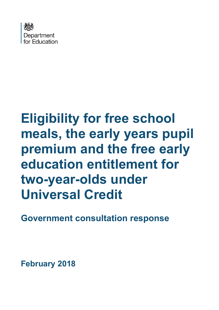

# **Eligibility for free school meals, the early years pupil premium and the free early education entitlement for two-year-olds under Universal Credit**

**Government consultation response**

**February 2018**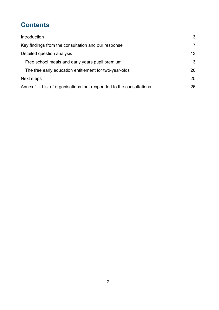# **Contents**

| Introduction                                                        | 3              |
|---------------------------------------------------------------------|----------------|
| Key findings from the consultation and our response                 | $\overline{7}$ |
| Detailed question analysis                                          | 13             |
| Free school meals and early years pupil premium                     | 13             |
| The free early education entitlement for two-year-olds              | 20             |
| Next steps                                                          | 25             |
| Annex 1 – List of organisations that responded to the consultations | 26             |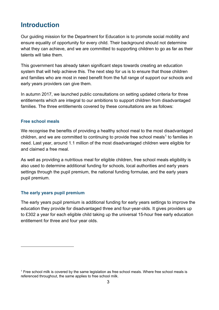## <span id="page-2-0"></span>**Introduction**

Our guiding mission for the Department for Education is to promote social mobility and ensure equality of opportunity for every child. Their background should not determine what they can achieve, and we are committed to supporting children to go as far as their talents will take them.

This government has already taken significant steps towards creating an education system that will help achieve this. The next step for us is to ensure that those children and families who are most in need benefit from the full range of support our schools and early years providers can give them.

In autumn 2017, we launched public consultations on setting updated criteria for three entitlements which are integral to our ambitions to support children from disadvantaged families. The three entitlements covered by these consultations are as follows:

#### **Free school meals**

We recognise the benefits of providing a healthy school meal to the most disadvantaged children, and we are committed to continuing to provide free school meals<sup>[1](#page-2-1)</sup> to families in need. Last year, around 1.1 million of the most disadvantaged children were eligible for and claimed a free meal.

As well as providing a nutritious meal for eligible children, free school meals eligibility is also used to determine additional funding for schools, local authorities and early years settings through the pupil premium, the national funding formulae, and the early years pupil premium.

#### **The early years pupil premium**

 $\overline{a}$ 

The early years pupil premium is additional funding for early years settings to improve the education they provide for disadvantaged three and four-year-olds. It gives providers up to £302 a year for each eligible child taking up the universal 15-hour free early education entitlement for three and four year olds.

<span id="page-2-1"></span> $<sup>1</sup>$  Free school milk is covered by the same legislation as free school meals. Where free school meals is</sup> referenced throughout, the same applies to free school milk.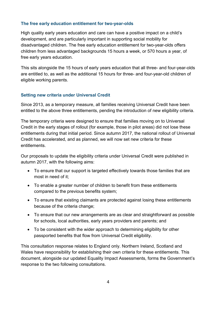#### **The free early education entitlement for two-year-olds**

High quality early years education and care can have a positive impact on a child's development, and are particularly important in supporting social mobility for disadvantaged children. The free early education entitlement for two-year-olds offers children from less advantaged backgrounds 15 hours a week, or 570 hours a year, of free early years education.

This sits alongside the 15 hours of early years education that all three- and four-year-olds are entitled to, as well as the additional 15 hours for three- and four-year-old children of eligible working parents.

#### **Setting new criteria under Universal Credit**

Since 2013, as a temporary measure, all families receiving Universal Credit have been entitled to the above three entitlements, pending the introduction of new eligibility criteria.

The temporary criteria were designed to ensure that families moving on to Universal Credit in the early stages of rollout (for example, those in pilot areas) did not lose these entitlements during that initial period. Since autumn 2017, the national rollout of Universal Credit has accelerated, and as planned, we will now set new criteria for these entitlements.

Our proposals to update the eligibility criteria under Universal Credit were published in autumn 2017, with the following aims:

- To ensure that our support is targeted effectively towards those families that are most in need of it;
- To enable a greater number of children to benefit from these entitlements compared to the previous benefits system;
- To ensure that existing claimants are protected against losing these entitlements because of the criteria change;
- To ensure that our new arrangements are as clear and straightforward as possible for schools, local authorities, early years providers and parents; and
- To be consistent with the wider approach to determining eligibility for other passported benefits that flow from Universal Credit eligibility.

This consultation response relates to England only. Northern Ireland, Scotland and Wales have responsibility for establishing their own criteria for these entitlements. This document, alongside our updated Equality Impact Assessments, forms the Government's response to the two following consultations.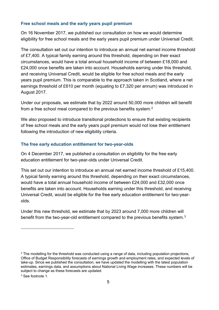#### **Free school meals and the early years pupil premium**

On 16 November 2017, we published our consultation on how we would determine eligibility for free school meals and the early years pupil premium under Universal Credit.

The consultation set out our intention to introduce an annual net earned income threshold of £7,400. A typical family earning around this threshold, depending on their exact circumstances, would have a total annual household income of between £18,000 and £24,000 once benefits are taken into account. Households earning under this threshold, and receiving Universal Credit, would be eligible for free school meals and the early years pupil premium. This is comparable to the approach taken in Scotland, where a net earnings threshold of £610 per month (equating to £7,320 per annum) was introduced in August 2017.

Under our proposals, we estimate that by 2022 around 50,000 more children will benefit from a free school meal compared to the previous benefits system. $^{\mathsf{2}}$  $^{\mathsf{2}}$  $^{\mathsf{2}}$ 

We also proposed to introduce transitional protections to ensure that existing recipients of free school meals and the early years pupil premium would not lose their entitlement following the introduction of new eligibility criteria.

#### **The free early education entitlement for two-year-olds**

On 4 December 2017, we published a consultation on eligibility for the free early education entitlement for two-year-olds under Universal Credit.

This set out our intention to introduce an annual net earned income threshold of £15,400. A typical family earning around this threshold, depending on their exact circumstances, would have a total annual household income of between £24,000 and £32,000 once benefits are taken into account. Households earning under this threshold, and receiving Universal Credit, would be eligible for the free early education entitlement for two-yearolds.

Under this new threshold, we estimate that by 2023 around 7,000 more children will benefit from the two-year-old entitlement compared to the previous benefits system. $^3$  $^3$ 

<span id="page-4-1"></span><sup>3</sup> See footnote 1.

 $\overline{a}$ 

<span id="page-4-0"></span> $2$  The modelling for the threshold was conducted using a range of data, including population projections, Office of Budget Responsibility forecasts of earnings growth and employment rates, and expected levels of take-up. Since we published the consultation, we have updated the modelling with the latest population estimates, earnings data, and assumptions about National Living Wage increases. These numbers will be subject to change as these forecasts are updated.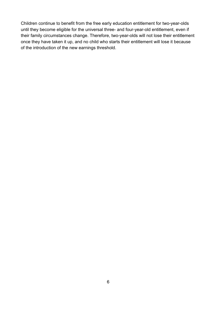Children continue to benefit from the free early education entitlement for two-year-olds until they become eligible for the universal three- and four-year-old entitlement, even if their family circumstances change. Therefore, two-year-olds will not lose their entitlement once they have taken it up, and no child who starts their entitlement will lose it because of the introduction of the new earnings threshold.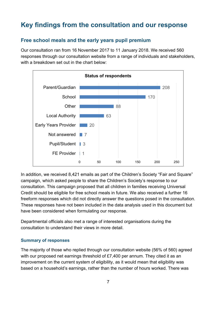# <span id="page-6-0"></span>**Key findings from the consultation and our response**

### **Free school meals and the early years pupil premium**

Our consultation ran from 16 November 2017 to 11 January 2018. We received 560 responses through our consultation website from a range of individuals and stakeholders, with a breakdown set out in the chart below:



In addition, we received 8,421 emails as part of the Children's Society "Fair and Square" campaign, which asked people to share the Children's Society's response to our consultation. This campaign proposed that all children in families receiving Universal Credit should be eligible for free school meals in future. We also received a further 16 freeform responses which did not directly answer the questions posed in the consultation. These responses have not been included in the data analysis used in this document but have been considered when formulating our response.

Departmental officials also met a range of interested organisations during the consultation to understand their views in more detail.

#### **Summary of responses**

The majority of those who replied through our consultation website (56% of 560) agreed with our proposed net earnings threshold of £7,400 per annum. They cited it as an improvement on the current system of eligibility, as it would mean that eligibility was based on a household's earnings, rather than the number of hours worked. There was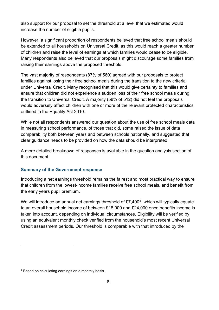also support for our proposal to set the threshold at a level that we estimated would increase the number of eligible pupils.

However, a significant proportion of respondents believed that free school meals should be extended to all households on Universal Credit, as this would reach a greater number of children and raise the level of earnings at which families would cease to be eligible. Many respondents also believed that our proposals might discourage some families from raising their earnings above the proposed threshold.

The vast majority of respondents (87% of 560) agreed with our proposals to protect families against losing their free school meals during the transition to the new criteria under Universal Credit. Many recognised that this would give certainty to families and ensure that children did not experience a sudden loss of their free school meals during the transition to Universal Credit. A majority (58% of 512) did not feel the proposals would adversely affect children with one or more of the relevant protected characteristics outlined in the Equality Act 2010.

While not all respondents answered our question about the use of free school meals data in measuring school performance, of those that did, some raised the issue of data comparability both between years and between schools nationally, and suggested that clear guidance needs to be provided on how the data should be interpreted.

A more detailed breakdown of responses is available in the question analysis section of this document.

#### **Summary of the Government response**

Introducing a net earnings threshold remains the fairest and most practical way to ensure that children from the lowest-income families receive free school meals, and benefit from the early years pupil premium.

We will introduce an annual net earnings threshold of £7,400<sup>4</sup>, which will typically equate to an overall household income of between £18,000 and £24,000 once benefits income is taken into account, depending on individual circumstances. Eligibility will be verified by using an equivalent monthly check verified from the household's most recent Universal Credit assessment periods. Our threshold is comparable with that introduced by the

 $\overline{a}$ 

<span id="page-7-0"></span><sup>4</sup> Based on calculating earnings on a monthly basis.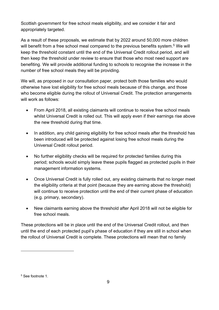Scottish government for free school meals eligibility, and we consider it fair and appropriately targeted.

As a result of these proposals, we estimate that by 2022 around 50,000 more children will benefit from a free school meal compared to the previous benefits system.<sup>[5](#page-8-0)</sup> We will keep the threshold constant until the end of the Universal Credit rollout period, and will then keep the threshold under review to ensure that those who most need support are benefiting. We will provide additional funding to schools to recognise the increase in the number of free school meals they will be providing.

We will, as proposed in our consultation paper, protect both those families who would otherwise have lost eligibility for free school meals because of this change, and those who become eligible during the rollout of Universal Credit. The protection arrangements will work as follows:

- From April 2018, all existing claimants will continue to receive free school meals whilst Universal Credit is rolled out. This will apply even if their earnings rise above the new threshold during that time.
- In addition, any child gaining eligibility for free school meals after the threshold has been introduced will be protected against losing free school meals during the Universal Credit rollout period.
- No further eligibility checks will be required for protected families during this period; schools would simply leave these pupils flagged as protected pupils in their management information systems.
- Once Universal Credit is fully rolled out, any existing claimants that no longer meet the eligibility criteria at that point (because they are earning above the threshold) will continue to receive protection until the end of their current phase of education (e.g. primary, secondary).
- New claimants earning above the threshold after April 2018 will not be eligible for free school meals.

These protections will be in place until the end of the Universal Credit rollout, and then until the end of each protected pupil's phase of education if they are still in school when the rollout of Universal Credit is complete. These protections will mean that no family

 $\overline{a}$ 

<span id="page-8-0"></span><sup>5</sup> See footnote 1.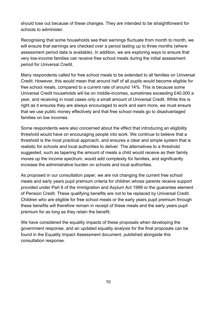should lose out because of these changes. They are intended to be straightforward for schools to administer.

Recognising that some households see their earnings fluctuate from month to month, we will ensure that earnings are checked over a period lasting up to three months (where assessment period data is available). In addition, we are exploring ways to ensure that very low-income families can receive free school meals during the initial assessment period for Universal Credit.

Many respondents called for free school meals to be extended to all families on Universal Credit. However, this would mean that around half of all pupils would become eligible for free school meals, compared to a current rate of around 14%. This is because some Universal Credit households will be on middle-incomes, sometimes exceeding £40,000 a year, and receiving in most cases only a small amount of Universal Credit. While this is right as it ensures they are always encouraged to work and earn more, we must ensure that we use public money effectively and that free school meals go to disadvantaged families on low incomes.

Some respondents were also concerned about the effect that introducing an eligibility threshold would have on encouraging people into work. We continue to believe that a threshold is the most practical approach, and ensures a clear and simple system that is realistic for schools and local authorities to deliver. The alternatives to a threshold suggested, such as tapering the amount of meals a child would receive as their family moves up the income spectrum, would add complexity for families, and significantly increase the administrative burden on schools and local authorities.

As proposed in our consultation paper, we are not changing the current free school meals and early years pupil premium criteria for children whose parents receive support provided under Part 6 of the Immigration and Asylum Act 1999 or the guarantee element of Pension Credit. These qualifying benefits are not to be replaced by Universal Credit. Children who are eligible for free school meals or the early years pupil premium through these benefits will therefore remain in receipt of these meals and the early years pupil premium for as long as they retain the benefit.

We have considered the equality impacts of these proposals when developing the government response, and an updated equality analysis for the final proposals can be found in the Equality Impact Assessment document, published alongside this consultation response.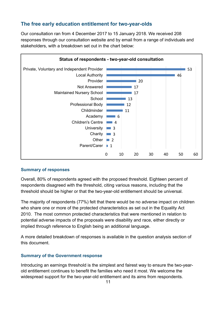### **The free early education entitlement for two-year-olds**

Our consultation ran from 4 December 2017 to 15 January 2018. We received 208 responses through our consultation website and by email from a range of individuals and stakeholders, with a breakdown set out in the chart below:



#### **Summary of responses**

Overall, 80% of respondents agreed with the proposed threshold. Eighteen percent of respondents disagreed with the threshold, citing various reasons, including that the threshold should be higher or that the two-year-old entitlement should be universal.

The majority of respondents (77%) felt that there would be no adverse impact on children who share one or more of the protected characteristics as set out in the Equality Act 2010. The most common protected characteristics that were mentioned in relation to potential adverse impacts of the proposals were disability and race, either directly or implied through reference to English being an additional language.

A more detailed breakdown of responses is available in the question analysis section of this document.

#### **Summary of the Government response**

Introducing an earnings threshold is the simplest and fairest way to ensure the two-yearold entitlement continues to benefit the families who need it most. We welcome the widespread support for the two-year-old entitlement and its aims from respondents.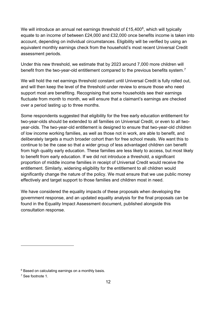We will introduce an annual net earnings threshold of  $£15,400^6$ , which will typically equate to an income of between £24,000 and £32,000 once benefits income is taken into account, depending on individual circumstances. Eligibility will be verified by using an equivalent monthly earnings check from the household's most recent Universal Credit assessment periods.

Under this new threshold, we estimate that by 2023 around 7,000 more children will benefit from the two-year-old entitlement compared to the previous benefits system. [7](#page-11-1)

We will hold the net earnings threshold constant until Universal Credit is fully rolled out, and will then keep the level of the threshold under review to ensure those who need support most are benefiting. Recognising that some households see their earnings fluctuate from month to month, we will ensure that a claimant's earnings are checked over a period lasting up to three months.

Some respondents suggested that eligibility for the free early education entitlement for two-year-olds should be extended to all families on Universal Credit, or even to all twoyear-olds. The two-year-old entitlement is designed to ensure that two-year-old children of low income working families, as well as those not in work, are able to benefit, and deliberately targets a much broader cohort than for free school meals. We want this to continue to be the case so that a wider group of less advantaged children can benefit from high quality early education. These families are less likely to access, but most likely to benefit from early education. If we did not introduce a threshold, a significant proportion of middle income families in receipt of Universal Credit would receive the entitlement. Similarly, widening eligibility for the entitlement to all children would significantly change the nature of the policy. We must ensure that we use public money effectively and target support to those families and children most in need.

We have considered the equality impacts of these proposals when developing the government response, and an updated equality analysis for the final proposals can be found in the Equality Impact Assessment document, published alongside this consultation response.

 $\overline{a}$ 

<span id="page-11-0"></span><sup>&</sup>lt;sup>6</sup> Based on calculating earnings on a monthly basis.

<span id="page-11-1"></span><sup>7</sup> See footnote 1.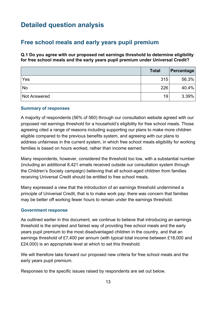# <span id="page-12-0"></span>**Detailed question analysis**

### <span id="page-12-1"></span>**Free school meals and early years pupil premium**

**Q.1 Do you agree with our proposed net earnings threshold to determine eligibility for free school meals and the early years pupil premium under Universal Credit?**

|              | <b>Total</b> | Percentage |
|--------------|--------------|------------|
| Yes          | 315          | 56.3%      |
| <b>No</b>    | 226          | 40.4%      |
| Not Answered | 19           | 3.39%      |

#### **Summary of responses**

A majority of respondents (56% of 560) through our consultation website agreed with our proposed net earnings threshold for a household's eligibility for free school meals. Those agreeing cited a range of reasons including supporting our plans to make more children eligible compared to the previous benefits system, and agreeing with our plans to address unfairness in the current system, in which free school meals eligibility for working families is based on hours worked, rather than income earned.

Many respondents, however, considered the threshold too low, with a substantial number (including an additional 8,421 emails received outside our consultation system through the Children's Society campaign) believing that all school-aged children from families receiving Universal Credit should be entitled to free school meals.

Many expressed a view that the introduction of an earnings threshold undermined a principle of Universal Credit, that is to make work pay: there was concern that families may be better off working fewer hours to remain under the earnings threshold.

#### **Government response**

As outlined earlier in this document, we continue to believe that introducing an earnings threshold is the simplest and fairest way of providing free school meals and the early years pupil premium to the most disadvantaged children in the country, and that an earnings threshold of £7,400 per annum (with typical total income between £18,000 and £24,000) is an appropriate level at which to set this threshold.

We will therefore take forward our proposed new criteria for free school meals and the early years pupil premium.

Responses to the specific issues raised by respondents are set out below.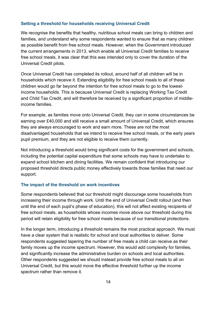#### **Setting a threshold for households receiving Universal Credit**

We recognise the benefits that healthy, nutritious school meals can bring to children and families, and understand why some respondents wanted to ensure that as many children as possible benefit from free school meals. However, when the Government introduced the current arrangements in 2013, which enable all Universal Credit families to receive free school meals, it was clear that this was intended only to cover the duration of the Universal Credit pilots.

Once Universal Credit has completed its rollout, around half of all children will be in households which receive it. Extending eligibility for free school meals to all of these children would go far beyond the intention for free school meals to go to the lowestincome households. This is because Universal Credit is replacing Working Tax Credit and Child Tax Credit, and will therefore be received by a significant proportion of middleincome families.

For example, as families move onto Universal Credit, they can in some circumstances be earning over £40,000 and still receive a small amount of Universal Credit, which ensures they are always encouraged to work and earn more. These are not the most disadvantaged households that we intend to receive free school meals, or the early years pupil premium, and they are not eligible to receive them currently.

Not introducing a threshold would bring significant costs for the government and schools, including the potential capital expenditure that some schools may have to undertake to expand school kitchen and dining facilities. We remain confident that introducing our proposed threshold directs public money effectively towards those families that need our support.

#### **The impact of the threshold on work incentives**

Some respondents believed that our threshold might discourage some households from increasing their income through work. Until the end of Universal Credit rollout (and then until the end of each pupil's phase of education), this will not affect existing recipients of free school meals, as households whose incomes move above our threshold during this period will retain eligibility for free school meals because of our transitional protections.

In the longer term, introducing a threshold remains the most practical approach. We must have a clear system that is realistic for school and local authorities to deliver. Some respondents suggested tapering the number of free meals a child can receive as their family moves up the income spectrum. However, this would add complexity for families, and significantly increase the administrative burden on schools and local authorities. Other respondents suggested we should instead provide free school meals to all on Universal Credit, but this would move the effective threshold further up the income spectrum rather than remove it.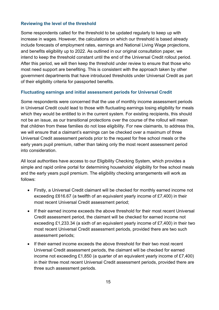#### **Reviewing the level of the threshold**

Some respondents called for the threshold to be updated regularly to keep up with increase in wages. However, the calculations on which our threshold is based already include forecasts of employment rates, earnings and National Living Wage projections, and benefits eligibility up to 2022. As outlined in our original consultation paper, we intend to keep the threshold constant until the end of the Universal Credit rollout period. After this period, we will then keep the threshold under review to ensure that those who most need support are benefiting. This is consistent with the approach taken by other government departments that have introduced thresholds under Universal Credit as part of their eligibility criteria for passported benefits.

#### **Fluctuating earnings and initial assessment periods for Universal Credit**

Some respondents were concerned that the use of monthly income assessment periods in Universal Credit could lead to those with fluctuating earnings losing eligibility for meals which they would be entitled to in the current system. For existing recipients, this should not be an issue, as our transitional protections over the course of the rollout will mean that children from these families do not lose eligibility. For new claimants, to address this, we will ensure that a claimant's earnings can be checked over a maximum of three Universal Credit assessment periods prior to the request for free school meals or the early years pupil premium, rather than taking only the most recent assessment period into consideration.

All local authorities have access to our Eligibility Checking System, which provides a simple and rapid online portal for determining households' eligibility for free school meals and the early years pupil premium. The eligibility checking arrangements will work as follows:

- Firstly, a Universal Credit claimant will be checked for monthly earned income not exceeding £616.67 (a twelfth of an equivalent yearly income of £7,400) in their most recent Universal Credit assessment period;
- If their earned income exceeds the above threshold for their most recent Universal Credit assessment period, the claimant will be checked for earned income not exceeding £1,233.34 (a sixth of an equivalent yearly income of £7,400) in their two most recent Universal Credit assessment periods, provided there are two such assessment periods;
- If their earned income exceeds the above threshold for their two most recent Universal Credit assessment periods, the claimant will be checked for earned income not exceeding £1,850 (a quarter of an equivalent yearly income of £7,400) in their three most recent Universal Credit assessment periods, provided there are three such assessment periods.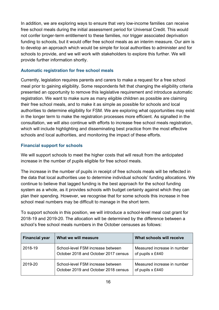In addition, we are exploring ways to ensure that very low-income families can receive free school meals during the initial assessment period for Universal Credit. This would not confer longer-term entitlement to these families, nor trigger associated deprivation funding to schools, but it would offer free school meals as an interim measure. Our aim is to develop an approach which would be simple for local authorities to administer and for schools to provide, and we will work with stakeholders to explore this further. We will provide further information shortly.

#### **Automatic registration for free school meals**

Currently, legislation requires parents and carers to make a request for a free school meal prior to gaining eligibility. Some respondents felt that changing the eligibility criteria presented an opportunity to remove this legislative requirement and introduce automatic registration. We want to make sure as many eligible children as possible are claiming their free school meals, and to make it as simple as possible for schools and local authorities to determine eligibility for FSM. We are exploring what opportunities may exist in the longer term to make the registration processes more efficient. As signalled in the consultation, we will also continue with efforts to increase free school meals registration, which will include highlighting and disseminating best practice from the most effective schools and local authorities, and monitoring the impact of these efforts.

#### **Financial support for schools**

We will support schools to meet the higher costs that will result from the anticipated increase in the number of pupils eligible for free school meals.

The increase in the number of pupils in receipt of free schools meals will be reflected in the data that local authorities use to determine individual schools' funding allocations. We continue to believe that lagged funding is the best approach for the school funding system as a whole, as it provides schools with budget certainty against which they can plan their spending. However, we recognise that for some schools this increase in free school meal numbers may be difficult to manage in the short term.

To support schools in this position, we will introduce a school-level meal cost grant for 2018-19 and 2019-20. The allocation will be determined by the difference between a school's free school meals numbers in the October censuses as follows:

| <b>Financial year</b> | What we will measure                                                      | What schools will receive                       |
|-----------------------|---------------------------------------------------------------------------|-------------------------------------------------|
| 2018-19               | School-level FSM increase between<br>October 2018 and October 2017 census | Measured increase in number<br>of pupils x £440 |
| 2019-20               | School-level FSM increase between<br>October 2019 and October 2018 census | Measured increase in number<br>of pupils x £440 |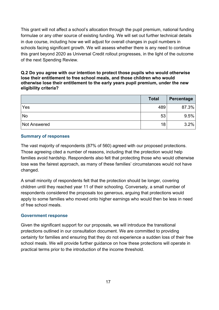This grant will not affect a school's allocation through the pupil premium, national funding formulae or any other source of existing funding. We will set out further technical details in due course, including how we will adjust for overall changes in pupil numbers in schools facing significant growth. We will assess whether there is any need to continue this grant beyond 2020 as Universal Credit rollout progresses, in the light of the outcome of the next Spending Review.

#### **Q.2 Do you agree with our intention to protect those pupils who would otherwise lose their entitlement to free school meals, and those children who would otherwise lose their entitlement to the early years pupil premium, under the new eligibility criteria?**

|                     | <b>Total</b> | Percentage |
|---------------------|--------------|------------|
| Yes                 | 489          | 87.3%      |
| No                  | 53           | 9.5%       |
| <b>Not Answered</b> | 18           | 3.2%       |

#### **Summary of responses**

The vast majority of respondents (87% of 560) agreed with our proposed protections. Those agreeing cited a number of reasons, including that the protection would help families avoid hardship. Respondents also felt that protecting those who would otherwise lose was the fairest approach, as many of these families' circumstances would not have changed.

A small minority of respondents felt that the protection should be longer, covering children until they reached year 11 of their schooling. Conversely, a small number of respondents considered the proposals too generous, arguing that protections would apply to some families who moved onto higher earnings who would then be less in need of free school meals.

#### **Government response**

Given the significant support for our proposals, we will introduce the transitional protections outlined in our consultation document. We are committed to providing certainty for families and ensuring that they do not experience a sudden loss of their free school meals. We will provide further guidance on how these protections will operate in practical terms prior to the introduction of the income threshold.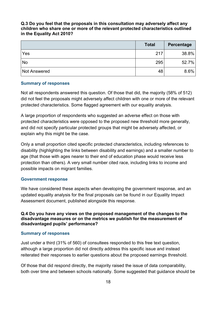#### **Q.3 Do you feel that the proposals in this consultation may adversely affect any children who share one or more of the relevant protected characteristics outlined in the Equality Act 2010?**

|                     | <b>Total</b> | Percentage |
|---------------------|--------------|------------|
| Yes                 | 217          | 38.8%      |
| No                  | 295          | 52.7%      |
| <b>Not Answered</b> | 48           | 8.6%       |

#### **Summary of responses**

Not all respondents answered this question. Of those that did, the majority (58% of 512) did not feel the proposals might adversely affect children with one or more of the relevant protected characteristics. Some flagged agreement with our equality analysis.

A large proportion of respondents who suggested an adverse effect on those with protected characteristics were opposed to the proposed new threshold more generally, and did not specify particular protected groups that might be adversely affected, or explain why this might be the case.

Only a small proportion cited specific protected characteristics, including references to disability (highlighting the links between disability and earnings) and a smaller number to age (that those with ages nearer to their end of education phase would receive less protection than others). A very small number cited race, including links to income and possible impacts on migrant families.

#### **Government response**

We have considered these aspects when developing the government response, and an updated equality analysis for the final proposals can be found in our Equality Impact Assessment document, published alongside this response.

#### **Q.4 Do you have any views on the proposed management of the changes to the disadvantage measures or on the metrics we publish for the measurement of disadvantaged pupils' performance?**

#### **Summary of responses**

Just under a third (31% of 560) of consultees responded to this free text question, although a large proportion did not directly address this specific issue and instead reiterated their responses to earlier questions about the proposed earnings threshold.

Of those that did respond directly, the majority raised the issue of data comparability, both over time and between schools nationally. Some suggested that guidance should be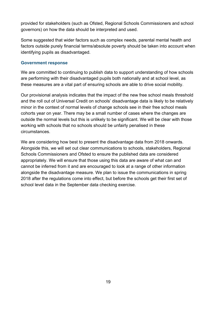provided for stakeholders (such as Ofsted, Regional Schools Commissioners and school governors) on how the data should be interpreted and used.

Some suggested that wider factors such as complex needs, parental mental health and factors outside purely financial terms/absolute poverty should be taken into account when identifying pupils as disadvantaged.

#### **Government response**

We are committed to continuing to publish data to support understanding of how schools are performing with their disadvantaged pupils both nationally and at school level, as these measures are a vital part of ensuring schools are able to drive social mobility.

Our provisional analysis indicates that the impact of the new free school meals threshold and the roll out of Universal Credit on schools' disadvantage data is likely to be relatively minor in the context of normal levels of change schools see in their free school meals cohorts year on year. There may be a small number of cases where the changes are outside the normal levels but this is unlikely to be significant. We will be clear with those working with schools that no schools should be unfairly penalised in these circumstances.

We are considering how best to present the disadvantage data from 2018 onwards. Alongside this, we will set out clear communications to schools, stakeholders, Regional Schools Commissioners and Ofsted to ensure the published data are considered appropriately. We will ensure that those using this data are aware of what can and cannot be inferred from it and are encouraged to look at a range of other information alongside the disadvantage measure. We plan to issue the communications in spring 2018 after the regulations come into effect, but before the schools get their first set of school level data in the September data checking exercise.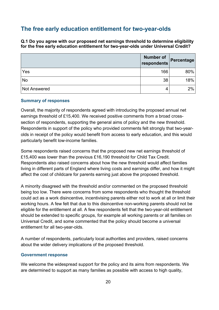### <span id="page-19-0"></span>**The free early education entitlement for two-year-olds**

**Q.1 Do you agree with our proposed net earnings threshold to determine eligibility for the free early education entitlement for two-year-olds under Universal Credit?**

|                     | <b>Number of</b><br>respondents | Percentage |
|---------------------|---------------------------------|------------|
| Yes                 | 166                             | 80%        |
| No                  | 38                              | 18%        |
| <b>Not Answered</b> | 4                               | 2%         |

#### **Summary of responses**

Overall, the majority of respondents agreed with introducing the proposed annual net earnings threshold of £15,400. We received positive comments from a broad crosssection of respondents, supporting the general aims of policy and the new threshold. Respondents in support of the policy who provided comments felt strongly that two-yearolds in receipt of the policy would benefit from access to early education, and this would particularly benefit low-income families.

Some respondents raised concerns that the proposed new net earnings threshold of £15,400 was lower than the previous £16,190 threshold for Child Tax Credit. Respondents also raised concerns about how the new threshold would affect families living in different parts of England where living costs and earnings differ, and how it might affect the cost of childcare for parents earning just above the proposed threshold.

A minority disagreed with the threshold and/or commented on the proposed threshold being too low. There were concerns from some respondents who thought the threshold could act as a work disincentive, incentivising parents either not to work at all or limit their working hours. A few felt that due to this disincentive non-working parents should not be eligible for the entitlement at all. A few respondents felt that the two-year-old entitlement should be extended to specific groups, for example all working parents or all families on Universal Credit, and some commented that the policy should become a universal entitlement for all two-year-olds.

A number of respondents, particularly local authorities and providers, raised concerns about the wider delivery implications of the proposed threshold.

#### **Government response**

We welcome the widespread support for the policy and its aims from respondents. We are determined to support as many families as possible with access to high quality,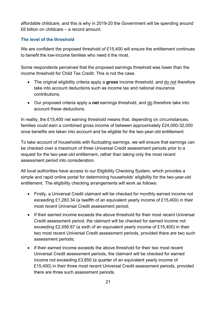affordable childcare, and this is why in 2019-20 the Government will be spending around £6 billion on childcare – a record amount.

#### **The level of the threshold**

We are confident the proposed threshold of £15,400 will ensure the entitlement continues to benefit the low-income families who need it the most.

Some respondents perceived that the proposed earnings threshold was lower than the income threshold for Child Tax Credit. This is not the case.

- The original eligibility criteria apply a **gross** income threshold, and do not therefore take into account deductions such as income tax and national insurance contributions.
- Our proposed criteria apply a **net** earnings threshold, and do therefore take into account these deductions.

In reality, the £15,400 net earning threshold means that, depending on circumstances, families could earn a combined gross income of between approximately £24,000-32,000 once benefits are taken into account and be eligible for the two-year-old entitlement.

To take account of households with fluctuating earnings, we will ensure that earnings can be checked over a maximum of three Universal Credit assessment periods prior to a request for the two-year-old entitlement, rather than taking only the most recent assessment period into consideration.

All local authorities have access to our Eligibility Checking System, which provides a simple and rapid online portal for determining households' eligibility for the two-year-old entitlement. The eligibility checking arrangements will work as follows:

- Firstly, a Universal Credit claimant will be checked for monthly earned income not exceeding £1,283.34 (a twelfth of an equivalent yearly income of £15,400) in their most recent Universal Credit assessment period;
- If their earned income exceeds the above threshold for their most recent Universal Credit assessment period, the claimant will be checked for earned income not exceeding £2,556.67 (a sixth of an equivalent yearly income of £15,400) in their two most recent Universal Credit assessment periods, provided there are two such assessment periods;
- If their earned income exceeds the above threshold for their two most recent Universal Credit assessment periods, the claimant will be checked for earned income not exceeding £3,850 (a quarter of an equivalent yearly income of £15,400) in their three most recent Universal Credit assessment periods, provided there are three such assessment periods.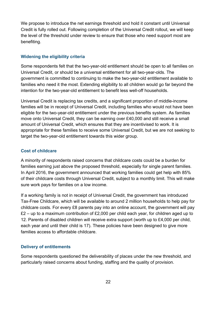We propose to introduce the net earnings threshold and hold it constant until Universal Credit is fully rolled out. Following completion of the Universal Credit rollout, we will keep the level of the threshold under review to ensure that those who need support most are benefiting.

#### **Widening the eligibility criteria**

Some respondents felt that the two-year-old entitlement should be open to all families on Universal Credit, or should be a universal entitlement for all two-year-olds. The government is committed to continuing to make the two-year-old entitlement available to families who need it the most. Extending eligibility to all children would go far beyond the intention for the two-year-old entitlement to benefit less well-off households.

Universal Credit is replacing tax credits, and a significant proportion of middle-income families will be in receipt of Universal Credit, including families who would not have been eligible for the two-year-old entitlement under the previous benefits system. As families move onto Universal Credit, they can be earning over £40,000 and still receive a small amount of Universal Credit, which ensures that they are incentivised to work. It is appropriate for these families to receive some Universal Credit, but we are not seeking to target the two-year-old entitlement towards this wider group.

#### **Cost of childcare**

A minority of respondents raised concerns that childcare costs could be a burden for families earning just above the proposed threshold, especially for single parent families. In April 2016, the government announced that working families could get help with 85% of their childcare costs through Universal Credit, subject to a monthly limit. This will make sure work pays for families on a low income.

If a working family is not in receipt of Universal Credit, the government has introduced Tax-Free Childcare, which will be available to around 2 million households to help pay for childcare costs. For every £8 parents pay into an online account, the government will pay  $£2 - up$  to a maximum contribution of £2,000 per child each year, for children aged up to 12. Parents of disabled children will receive extra support (worth up to £4,000 per child, each year and until their child is 17). These policies have been designed to give more families access to affordable childcare.

#### **Delivery of entitlements**

Some respondents questioned the deliverability of places under the new threshold, and particularly raised concerns about funding, staffing and the quality of provision.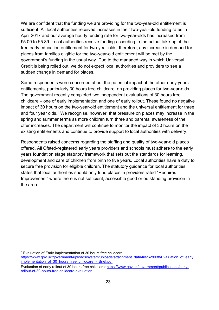We are confident that the funding we are providing for the two-year-old entitlement is sufficient. All local authorities received increases in their two-year-old funding rates in April 2017 and our average hourly funding rate for two-year-olds has increased from £5.09 to £5.39. Local authorities receive funding according to the actual take-up of the free early education entitlement for two-year-olds; therefore, any increase in demand for places from families eligible for the two-year-old entitlement will be met by the government's funding in the usual way. Due to the managed way in which Universal Credit is being rolled out, we do not expect local authorities and providers to see a sudden change in demand for places.

Some respondents were concerned about the potential impact of the other early years entitlements, particularly 30 hours free childcare, on providing places for two-year-olds. The government recently completed two independent evaluations of 30 hours free childcare – one of early implementation and one of early rollout. These found no negative impact of 30 hours on the two-year-old entitlement and the universal entitlement for three and four year olds.<sup>[8](#page-22-0)</sup> We recognise, however, that pressure on places may increase in the spring and summer terms as more children turn three and parental awareness of the offer increases. The department will continue to monitor the impact of 30 hours on the existing entitlements and continue to provide support to local authorities with delivery.

Respondents raised concerns regarding the staffing and quality of two-year-old places offered. All Ofsted-registered early years providers and schools must adhere to the early years foundation stage statutory framework that sets out the standards for learning, development and care of children from birth to five years. Local authorities have a duty to secure free provision for eligible children. The statutory guidance for local authorities states that local authorities should only fund places in providers rated "Requires Improvement" where there is not sufficient, accessible good or outstanding provision in the area.

 $\overline{a}$ 

<span id="page-22-0"></span><sup>8</sup> Evaluation of Early Implementation of 30 hours free childcare:

https://www.gov.uk/government/uploads/system/uploads/attachment\_data/file/628938/Evaluation\_of\_early [implementation\\_of\\_30\\_hours\\_free\\_childcare\\_-\\_Brief.pdf](https://www.gov.uk/government/uploads/system/uploads/attachment_data/file/628938/Evaluation_of_early_implementation_of_30_hours_free_childcare_-_Brief.pdf)

Evaluation of early rollout of 30 hours free childcare: [https://www.gov.uk/government/publications/early](https://www.gov.uk/government/publications/early-rollout-of-30-hours-free-childcare-evaluation)[rollout-of-30-hours-free-childcare-evaluation](https://www.gov.uk/government/publications/early-rollout-of-30-hours-free-childcare-evaluation)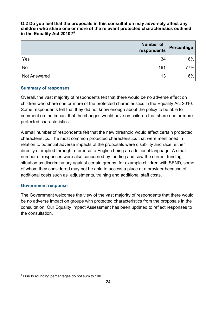#### **Q.2 Do you feel that the proposals in this consultation may adversely affect any children who share one or more of the relevant protected characteristics outlined in the Equality Act 2010?**[9](#page-23-0)

|                     | <b>Number of</b><br>respondents | Percentage |
|---------------------|---------------------------------|------------|
| Yes                 | 34                              | 16%        |
| No                  | 161                             | 77%        |
| <b>Not Answered</b> | 13                              | 6%         |

#### **Summary of responses**

Overall, the vast majority of respondents felt that there would be no adverse effect on children who share one or more of the protected characteristics in the Equality Act 2010. Some respondents felt that they did not know enough about the policy to be able to comment on the impact that the changes would have on children that share one or more protected characteristics.

A small number of respondents felt that the new threshold would affect certain protected characteristics. The most common protected characteristics that were mentioned in relation to potential adverse impacts of the proposals were disability and race, either directly or implied through reference to English being an additional language. A small number of responses were also concerned by funding and saw the current funding situation as discriminatory against certain groups, for example children with SEND, some of whom they considered may not be able to access a place at a provider because of additional costs such as adjustments, training and additional staff costs.

#### **Government response**

 $\overline{a}$ 

The Government welcomes the view of the vast majority of respondents that there would be no adverse impact on groups with protected characteristics from the proposals in the consultation. Our Equality Impact Assessment has been updated to reflect responses to the consultation.

<span id="page-23-0"></span><sup>&</sup>lt;sup>9</sup> Due to rounding percentages do not sum to 100.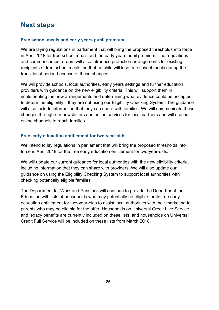# <span id="page-24-0"></span>**Next steps**

#### **Free school meals and early years pupil premium**

We are laying regulations in parliament that will bring the proposed thresholds into force in April 2018 for free school meals and the early years pupil premium. The regulations and commencement orders will also introduce protection arrangements for existing recipients of free school meals, so that no child will lose free school meals during the transitional period because of these changes.

We will provide schools, local authorities, early years settings and further education providers with guidance on the new eligibility criteria. This will support them in implementing the new arrangements and determining what evidence could be accepted to determine eligibility if they are not using our Eligibility Checking System. The guidance will also include information that they can share with families. We will communicate these changes through our newsletters and online services for local partners and will use our online channels to reach families.

#### **Free early education entitlement for two-year-olds**

We intend to lay regulations in parliament that will bring the proposed thresholds into force in April 2018 for the free early education entitlement for two-year-olds.

We will update our current guidance for local authorities with the new eligibility criteria, including information that they can share with providers. We will also update our guidance on using the Eligibility Checking System to support local authorities with checking potentially eligible families.

The Department for Work and Pensions will continue to provide the Department for Education with lists of households who may potentially be eligible for its free early education entitlement for two-year-olds to assist local authorities with their marketing to parents who may be eligible for the offer. Households on Universal Credit Live Service and legacy benefits are currently included on these lists, and households on Universal Credit Full Service will be included on these lists from March 2018.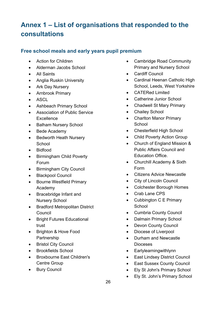# <span id="page-25-0"></span>**Annex 1 – List of organisations that responded to the consultations**

### **Free school meals and early years pupil premium**

- Action for Children
- Alderman Jacobs School
- All Saints
- Anglia Ruskin University
- Ark Day Nursery
- Arnbrook Primary
- ASCL
- Ashbeach Primary School
- Association of Public Service **Excellence**
- Balham Nursery School
- Bede Academy
- Bedworth Heath Nursery **School**
- Bidfood
- Birmingham Child Poverty Forum
- Birmingham City Council
- Blackpool Council
- Bourne Westfield Primary Academy
- Bracebridge Infant and Nursery School
- Bradford Metropolitan District Council
- Bright Futures Educational trust
- Brighton & Hove Food Partnership
- Bristol City Council
- Brookfields School
- Broxbourne East Children's Centre Group
- Bury Council
- Cambridge Road Community Primary and Nursery School
- Cardiff Council
- Cardinal Heenan Catholic High School, Leeds, West Yorkshire
- CATERed Limited
- Catherine Junior School
- Chadwell St Mary Primary
- Chailey School
- Charlton Manor Primary **School**
- Chesterfield High School
- Child Poverty Action Group
- Church of England Mission & Public Affairs Council and Education Office.
- Churchill Academy & Sixth Form
- Citizens Advice Newcastle
- City of Lincoln Council
- Colchester Borough Homes
- Crab Lane CPS
- Cubbington C E Primary **School**
- Cumbria County Council
- Dalmain Primary School
- Devon County Council
- Diocese of Liverpool
- Durham and Newcastle Dioceses
- Earlylearningwithlynn
- East Lindsey District Council
- East Sussex County Council
- Ely St John's Primary School
- Ely St. John's Primary School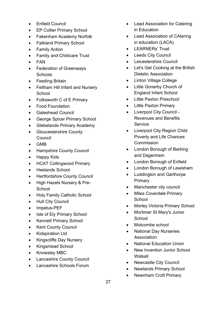- Enfield Council
- EP Collier Primary School
- Fakenham Academy Norfolk
- Falkland Primary School
- Family Action
- Family and Childcare Trust
- FAN
- Federation of Greenways **Schools**
- Feeding Britain
- Feltham Hill Infant and Nursery **School**
- Folksworth C of E Primary
- Food Foundation
- Gateshead Council
- George Spicer Primary School
- Glebelands Primary Academy
- Gloucestershire County Council
- GMB
- Hampshire County Council
- Happy Kids
- HCAT Collingwood Primary
- Heelands School
- Hertfordshire County Council
- High Hazels Nursery & Pre-**School**
- Holy Family Catholic School
- Hull City Council
- Impetus-PEF
- Isle of Ely Primary School
- Kennett Primary School
- Kent County Council
- Kidspiration Ltd
- Kingscliffe Day Nursery
- Kingsmead School
- Knowsley MBC
- Lancashire County Council
- Lancashire Schools Forum
- Lead Association for Catering in Education
- Lead Association of CAtering in education (LACA)
- LEARNERs' Trust
- Leeds City Council
- Leicestershire Council
- Let's Get Cooking at the British Dietetic Association
- Linton Village College
- Little Gonerby Church of England Infant School
- Little Paxton Preschool
- Little Paxton Primary
- Liverpool City Council Revenues and Benefits **Service**
- Liverpool City Region Child Poverty and Life Chances **Commission**
- London Borough of Barking and Dagenham
- London Borough of Enfield
- London Borough of Lewisham
- Luddington and Garthorpe **Primary**
- Manchester city council
- Miles Coverdale Primary **School**
- Morley Victoria Primary School
- Mortimer St Mary's Junior **School**
- Motcombe school
- National Day Nurseries **Association**
- National Education Union
- New Invention Junior School Walsall
- Newcastle City Council
- Newlands Primary School
- Newnham Croft Primary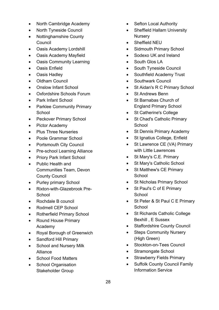- North Cambridge Academy
- North Tyneside Council
- Nottinghamshire County Council
- Oasis Academy Lordshill
- Oasis Academy Mayfield
- Oasis Community Learning
- Oasis Enfield
- Oasis Hadley
- Oldham Council
- Onslow Infant School
- Oxfordshire Schools Forum
- Park Infant School
- Parklee Community Primary **School**
- Peckover Primary School
- Pictor Academy
- Plus Three Nurseries
- Poole Grammar School
- Portsmouth City Council
- Pre-school Learning Alliance
- Priory Park Infant School
- Public Health and Communities Team, Devon County Council
- Purley primary School
- Rixton-with-Glazebrook Pre-School
- Rochdale B council
- Rodmell CEP School
- Rotherfield Primary School
- Round House Primary Academy
- Royal Borough of Greenwich
- Sandford Hill Primary
- School and Nursery Milk Alliance
- School Food Matters
- School Organisation Stakeholder Group
- Sefton Local Authority
- Sheffield Hallam University **Nursery**
- Sheffield NEU
- Sidmouth Primary School
- Sodexo UK and Ireland
- South Glos LA
- South Tyneside Council
- Southfield Academy Trust
- Southwark Council
- St Aidan's R C Primary School
- St Andrews Benn
- St Barnabas Church of England Primary School
- St Catherine's College
- St Chad's Catholic Primary **School**
- St Dennis Primary Academy
- St Ignatius College, Enfield
- St Lawrence CE (VA) Primary with Little Lawrences
- St Mary's C.E. Primary
- St Mary's Catholic School
- St Matthew's CE Primary **School**
- **St Nicholas Primary School**
- St Paul's C of E Primary **School**
- St Peter & St Paul C E Primary **School**
- St Richards Catholic College Bexhill , E Sussex
- Staffordshire County Council
- Steps Community Nursery (High Green)
- Stockton-on-Tees Council
- Stramongate School
- Strawberry Fields Primary
- Suffolk County Council Family Information Service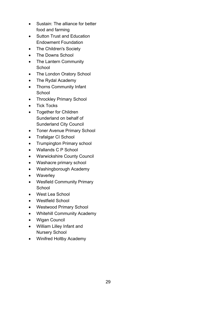- Sustain: The alliance for better food and farming
- Sutton Trust and Education Endowment Foundation
- The Children's Society
- The Downs School
- The Lantern Community **School**
- The London Oratory School
- The Rydal Academy
- Thorns Community Infant **School**
- Throckley Primary School
- Tick Tocks
- Together for Children Sunderland on behalf of Sunderland City Council
- Toner Avenue Primary School
- Trafalgar CI School
- Trumpington Primary school
- Wallands C P School
- Warwickshire County Council
- Washacre primary school
- Washingborough Academy
- Waverley
- Wesfield Community Primary **School**
- West Lea School
- Westfield School
- Westwood Primary School
- Whitehill Community Academy
- Wigan Council
- William Lilley Infant and Nursery School
- Winifred Holtby Academy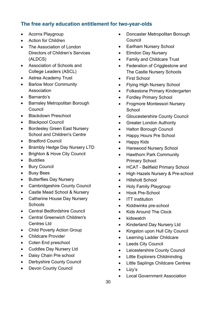### **The free early education entitlement for two-year-olds**

- Acorns Playgroup
- Action for Children
- The Association of London Directors of Children's Services (ALDCS)
- Association of Schools and College Leaders (ASCL)
- Astrea Academy Trust
- Barlow Moor Community Association
- Barnardo's
- Barnsley Metropolitan Borough **Council**
- Blackdown Preschool
- Blackpool Council
- Bordesley Green East Nursery School and Children's Centre
- Bradford Council
- Brambly Hedge Day Nursery LTD
- Brighton & Hove City Council
- Buddies
- Bury Council
- Busy Bees
- Butterflies Day Nursery
- Cambridgeshire County Council
- Castle Mead School & Nursery
- Catherine House Day Nursery **Schools**
- Central Bedfordshire Council
- Central Greenwich Children's Centres Ltd
- Child Poverty Action Group
- Childcare Provider
- Coten End preschool
- Cuddles Day Nursery Ltd
- Daisy Chain Pre school
- Derbyshire County Council
- Devon County Council
- Doncaster Metropolitan Borough **Council**
- Earlham Nursery School
- Elmdon Day Nursery
- Family and Childcare Trust
- Federation of Crigglestone and The Castle Nursery Schools
- First School
- Flying High Nursery School
- Folkestone Primary Kindergarten
- Fordley Primary School
- Frogmore Montessori Nursery **School**
- Gloucestershire County Council
- Greater London Authority
- Halton Borough Council
- Happy Hours Pre School
- Happy Kids
- Harewood Nursery School
- Hawthorn Park Community Primary School
- HCAT Bellfield Primary School
- High Hazels Nursery & Pre-school
- Hillshott School
- Holy Family Playgroup
- Hook Pre-School
- ITT institution
- Kiddiwinks pre-school
- Kids Around The Clock
- kidswatch
- Kinderland Day Nursery Ltd
- Kingston upon Hull City Council
- Learning Ladder Childcare
- Leeds City Council
- Leicestershire County Council
- Little Explorers Childminding
- Little Saplings Childcare Centres
- Lizy's
- Local Government Association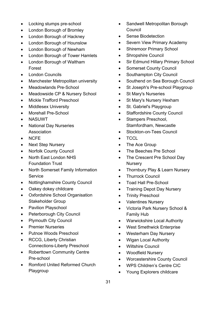- Locking stumps pre-school
- London Borough of Bromley
- London Borough of Hackney
- London Borough of Hounslow
- London Borough of Newham
- London Borough of Tower Hamlets
- London Borough of Waltham Forest
- **London Councils**
- Manchester Metropolitan university
- Meadowlands Pre-School
- Meadowside CP & Nursery School
- Mickle Trafford Preschool
- Middlesex University
- Morehall Pre-School
- NASUWT
- National Day Nurseries Association
- NCFE
- Next Step Nursery
- Norfolk County Council
- [North East London NHS](http://www.nelft.nhs.uk/)  [Foundation Trust](http://www.nelft.nhs.uk/)
- North Somerset Family Information **Service**
- Nottinghamshire County Council
- Oakey dokey childcare
- Oxfordshire School Organisation Stakeholder Group
- Pavilion Playschool
- Peterborough City Council
- Plymouth City Council
- Premier Nurseries
- Putnoe Woods Preschool
- RCCG, Liberty Christian Connections-Liberty Preschool
- Roberttown Community Centre Pre-school
- Romford United Reformed Church Playgroup
- Sandwell Metropolitan Borough **Council**
- Sense Biodetection
- Severn View Primary Academy
- Shiremoor Primary School
- Shropshire Council
- Sir Edmund Hillary Primary School
- Somerset County Council
- Southampton City Council
- Southend on Sea Borough Council
- St Joseph's Pre-school Playgroup
- St Mary's Nurseries
- St Mary's Nursery Hexham
- St. Gabriel's Playgroup
- Staffordshire County Council
- Stampers Preschool, Stamfordham, Newcastle
- Stockton-on-Tees Council
- TCCL
- The Ace Group
- The Beeches Pre School
- The Crescent Pre School Day **Nursery**
- Thornbury Play & Learn Nursery
- Thurrock Council
- Toad Hall Pre-School
- Training Depot Day Nursery
- Trinity Preschool
- Valentines Nursery
- Victoria Park Nursery School & Family Hub
- Warwickshire Local Authority
- West Smethwick Enterprise
- Westerham Day Nursery
- Wigan Local Authority
- Wiltshire Council
- Woodfield Nursery
- Worcestershire County Council
- WPS Children's Centre CIC
- Young Explorers childcare